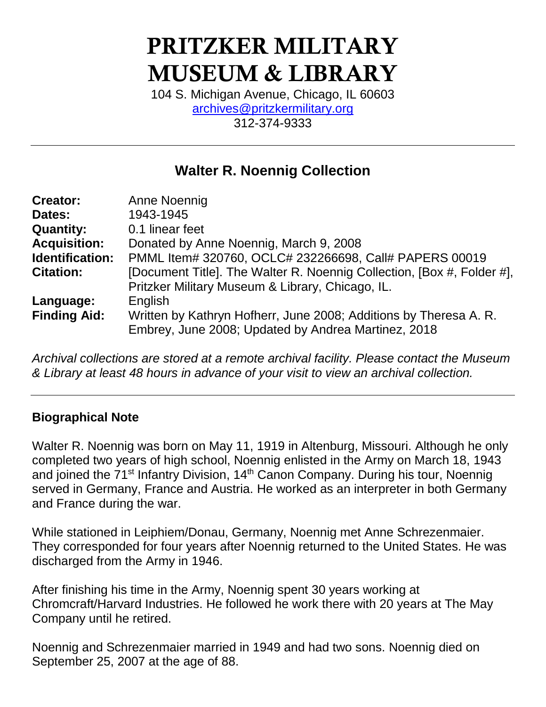# PRITZKER MILITARY MUSEUM & LIBRARY

104 S. Michigan Avenue, Chicago, IL 60603 [archives@pritzkermilitary.org](mailto:archives@pritzkermilitary.org) 312-374-9333

# **Walter R. Noennig Collection**

| <b>Creator:</b>     | Anne Noennig                                                           |  |  |  |
|---------------------|------------------------------------------------------------------------|--|--|--|
| Dates:              | 1943-1945                                                              |  |  |  |
| <b>Quantity:</b>    | 0.1 linear feet                                                        |  |  |  |
| <b>Acquisition:</b> | Donated by Anne Noennig, March 9, 2008                                 |  |  |  |
| Identification:     | PMML Item# 320760, OCLC# 232266698, Call# PAPERS 00019                 |  |  |  |
| <b>Citation:</b>    | [Document Title]. The Walter R. Noennig Collection, [Box #, Folder #], |  |  |  |
|                     | Pritzker Military Museum & Library, Chicago, IL.                       |  |  |  |
| Language:           | English                                                                |  |  |  |
| <b>Finding Aid:</b> | Written by Kathryn Hofherr, June 2008; Additions by Theresa A. R.      |  |  |  |
|                     | Embrey, June 2008; Updated by Andrea Martinez, 2018                    |  |  |  |
|                     |                                                                        |  |  |  |

*Archival collections are stored at a remote archival facility. Please contact the Museum & Library at least 48 hours in advance of your visit to view an archival collection.*

## **Biographical Note**

Walter R. Noennig was born on May 11, 1919 in Altenburg, Missouri. Although he only completed two years of high school, Noennig enlisted in the Army on March 18, 1943 and joined the 71<sup>st</sup> Infantry Division, 14<sup>th</sup> Canon Company. During his tour, Noennig served in Germany, France and Austria. He worked as an interpreter in both Germany and France during the war.

While stationed in Leiphiem/Donau, Germany, Noennig met Anne Schrezenmaier. They corresponded for four years after Noennig returned to the United States. He was discharged from the Army in 1946.

After finishing his time in the Army, Noennig spent 30 years working at Chromcraft/Harvard Industries. He followed he work there with 20 years at The May Company until he retired.

Noennig and Schrezenmaier married in 1949 and had two sons. Noennig died on September 25, 2007 at the age of 88.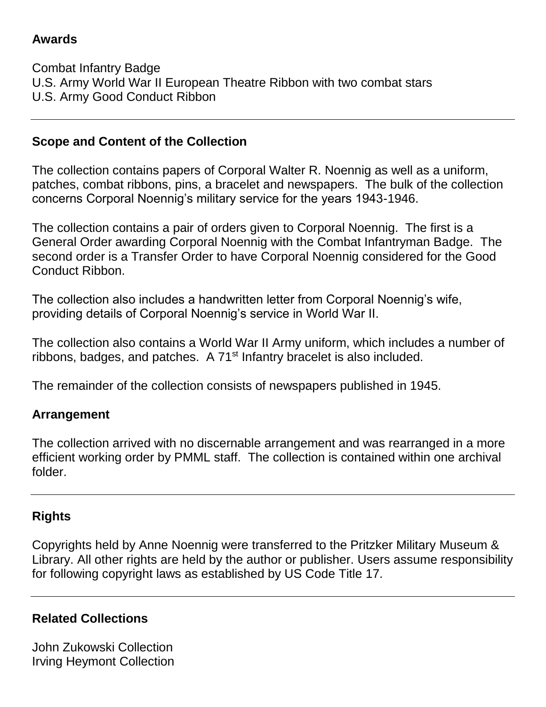#### **Awards**

Combat Infantry Badge U.S. Army World War II European Theatre Ribbon with two combat stars U.S. Army Good Conduct Ribbon

#### **Scope and Content of the Collection**

The collection contains papers of Corporal Walter R. Noennig as well as a uniform, patches, combat ribbons, pins, a bracelet and newspapers. The bulk of the collection concerns Corporal Noennig's military service for the years 1943-1946.

The collection contains a pair of orders given to Corporal Noennig. The first is a General Order awarding Corporal Noennig with the Combat Infantryman Badge. The second order is a Transfer Order to have Corporal Noennig considered for the Good Conduct Ribbon.

The collection also includes a handwritten letter from Corporal Noennig's wife, providing details of Corporal Noennig's service in World War II.

The collection also contains a World War II Army uniform, which includes a number of ribbons, badges, and patches. A 71<sup>st</sup> Infantry bracelet is also included.

The remainder of the collection consists of newspapers published in 1945.

#### **Arrangement**

The collection arrived with no discernable arrangement and was rearranged in a more efficient working order by PMML staff. The collection is contained within one archival folder.

## **Rights**

Copyrights held by Anne Noennig were transferred to the Pritzker Military Museum & Library. All other rights are held by the author or publisher. Users assume responsibility for following copyright laws as established by US Code Title 17.

## **Related Collections**

John Zukowski Collection Irving Heymont Collection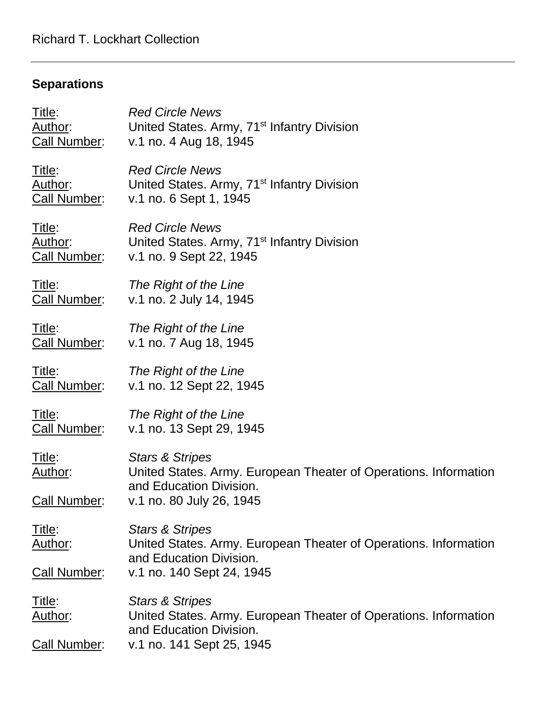# **Separations**

| Title:                            | <b>Red Circle News</b>                                                                                                                                |  |  |  |
|-----------------------------------|-------------------------------------------------------------------------------------------------------------------------------------------------------|--|--|--|
| Author:                           | United States. Army, 71 <sup>st</sup> Infantry Division                                                                                               |  |  |  |
| <b>Call Number:</b>               | v.1 no. 4 Aug 18, 1945                                                                                                                                |  |  |  |
| Title:                            | <b>Red Circle News</b>                                                                                                                                |  |  |  |
| Author:                           | United States. Army, 71 <sup>st</sup> Infantry Division                                                                                               |  |  |  |
| <b>Call Number:</b>               | v.1 no. 6 Sept 1, 1945                                                                                                                                |  |  |  |
| Title:                            | <b>Red Circle News</b>                                                                                                                                |  |  |  |
| Author:                           | United States. Army, 71 <sup>st</sup> Infantry Division                                                                                               |  |  |  |
| <b>Call Number:</b>               | v.1 no. 9 Sept 22, 1945                                                                                                                               |  |  |  |
| Title:                            | The Right of the Line                                                                                                                                 |  |  |  |
| Call Number:                      | v.1 no. 2 July 14, 1945                                                                                                                               |  |  |  |
| <u>Title:</u>                     | The Right of the Line                                                                                                                                 |  |  |  |
| <b>Call Number:</b>               | v.1 no. 7 Aug 18, 1945                                                                                                                                |  |  |  |
| Title:                            | The Right of the Line                                                                                                                                 |  |  |  |
| <b>Call Number:</b>               | v.1 no. 12 Sept 22, 1945                                                                                                                              |  |  |  |
| <u>Title:</u>                     | The Right of the Line                                                                                                                                 |  |  |  |
| <b>Call Number:</b>               | v.1 no. 13 Sept 29, 1945                                                                                                                              |  |  |  |
| Title:<br>Author:<br>Call Number: | <b>Stars &amp; Stripes</b><br>United States. Army. European Theater of Operations. Information<br>and Education Division.<br>v.1 no. 80 July 26, 1945 |  |  |  |
| <u>Title:</u><br>Author:          | <b>Stars &amp; Stripes</b><br>United States. Army. European Theater of Operations. Information<br>and Education Division.                             |  |  |  |
| <b>Call Number:</b>               | v.1 no. 140 Sept 24, 1945                                                                                                                             |  |  |  |
| <u>Title:</u><br><u>Author:</u>   | <b>Stars &amp; Stripes</b><br>United States. Army. European Theater of Operations. Information<br>and Education Division.                             |  |  |  |
| Call Number:                      | v.1 no. 141 Sept 25, 1945                                                                                                                             |  |  |  |
|                                   |                                                                                                                                                       |  |  |  |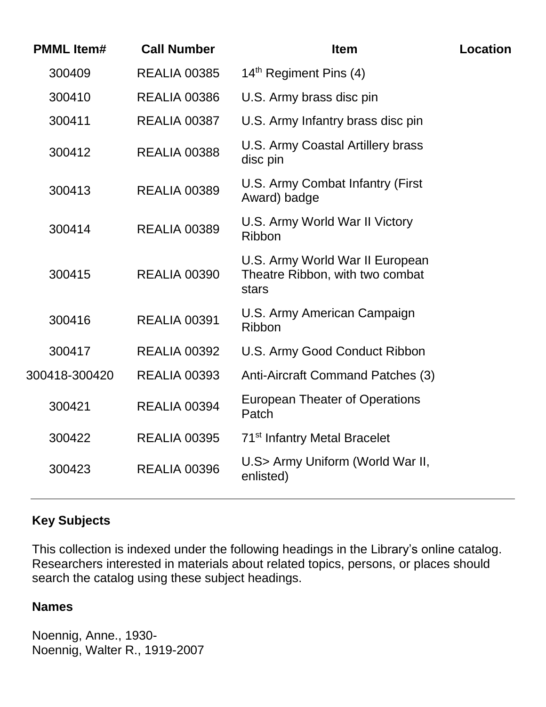| <b>PMML Item#</b> | <b>Call Number</b>  | <b>Item</b>                                                                 | Location |
|-------------------|---------------------|-----------------------------------------------------------------------------|----------|
| 300409            | <b>REALIA 00385</b> | 14 <sup>th</sup> Regiment Pins (4)                                          |          |
| 300410            | <b>REALIA 00386</b> | U.S. Army brass disc pin                                                    |          |
| 300411            | <b>REALIA 00387</b> | U.S. Army Infantry brass disc pin                                           |          |
| 300412            | <b>REALIA 00388</b> | U.S. Army Coastal Artillery brass<br>disc pin                               |          |
| 300413            | <b>REALIA 00389</b> | U.S. Army Combat Infantry (First<br>Award) badge                            |          |
| 300414            | <b>REALIA 00389</b> | U.S. Army World War II Victory<br><b>Ribbon</b>                             |          |
| 300415            | <b>REALIA 00390</b> | U.S. Army World War II European<br>Theatre Ribbon, with two combat<br>stars |          |
| 300416            | <b>REALIA 00391</b> | U.S. Army American Campaign<br>Ribbon                                       |          |
| 300417            | <b>REALIA 00392</b> | U.S. Army Good Conduct Ribbon                                               |          |
| 300418-300420     | <b>REALIA 00393</b> | Anti-Aircraft Command Patches (3)                                           |          |
| 300421            | <b>REALIA 00394</b> | <b>European Theater of Operations</b><br>Patch                              |          |
| 300422            | <b>REALIA 00395</b> | 71 <sup>st</sup> Infantry Metal Bracelet                                    |          |
| 300423            | <b>REALIA 00396</b> | U.S> Army Uniform (World War II,<br>enlisted)                               |          |
|                   |                     |                                                                             |          |

## **Key Subjects**

This collection is indexed under the following headings in the Library's online catalog. Researchers interested in materials about related topics, persons, or places should search the catalog using these subject headings.

#### **Names**

Noennig, Anne., 1930- Noennig, Walter R., 1919-2007